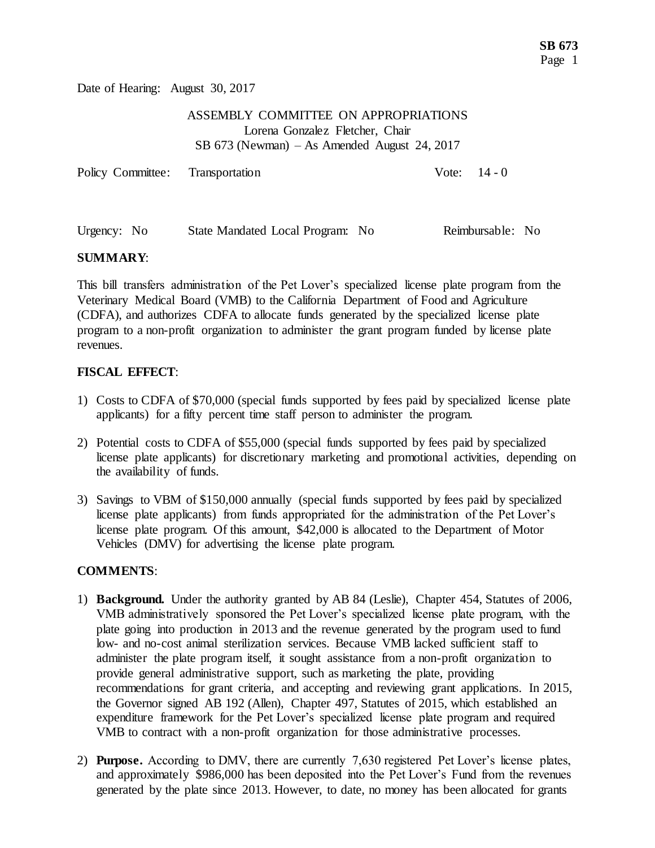Date of Hearing: August 30, 2017

## ASSEMBLY COMMITTEE ON APPROPRIATIONS Lorena Gonzalez Fletcher, Chair SB 673 (Newman) – As Amended August 24, 2017

| Policy Committee: Transportation | Vote: $14 - 0$ |  |
|----------------------------------|----------------|--|
|                                  |                |  |

| Urgency: No<br>State Mandated Local Program: No |  | Reimbursable: No |  |
|-------------------------------------------------|--|------------------|--|
|-------------------------------------------------|--|------------------|--|

## **SUMMARY**:

This bill transfers administration of the Pet Lover's specialized license plate program from the Veterinary Medical Board (VMB) to the California Department of Food and Agriculture (CDFA), and authorizes CDFA to allocate funds generated by the specialized license plate program to a non-profit organization to administer the grant program funded by license plate revenues.

## **FISCAL EFFECT**:

- 1) Costs to CDFA of \$70,000 (special funds supported by fees paid by specialized license plate applicants) for a fifty percent time staff person to administer the program.
- 2) Potential costs to CDFA of \$55,000 (special funds supported by fees paid by specialized license plate applicants) for discretionary marketing and promotional activities, depending on the availability of funds.
- 3) Savings to VBM of \$150,000 annually (special funds supported by fees paid by specialized license plate applicants) from funds appropriated for the administration of the Pet Lover's license plate program. Of this amount, \$42,000 is allocated to the Department of Motor Vehicles (DMV) for advertising the license plate program.

## **COMMENTS**:

- 1) **Background.** Under the authority granted by AB 84 (Leslie), Chapter 454, Statutes of 2006, VMB administratively sponsored the Pet Lover's specialized license plate program, with the plate going into production in 2013 and the revenue generated by the program used to fund low- and no-cost animal sterilization services. Because VMB lacked sufficient staff to administer the plate program itself, it sought assistance from a non-profit organization to provide general administrative support, such as marketing the plate, providing recommendations for grant criteria, and accepting and reviewing grant applications. In 2015, the Governor signed AB 192 (Allen), Chapter 497, Statutes of 2015, which established an expenditure framework for the Pet Lover's specialized license plate program and required VMB to contract with a non-profit organization for those administrative processes.
- 2) **Purpose.** According to DMV, there are currently 7,630 registered Pet Lover's license plates, and approximately \$986,000 has been deposited into the Pet Lover's Fund from the revenues generated by the plate since 2013. However, to date, no money has been allocated for grants